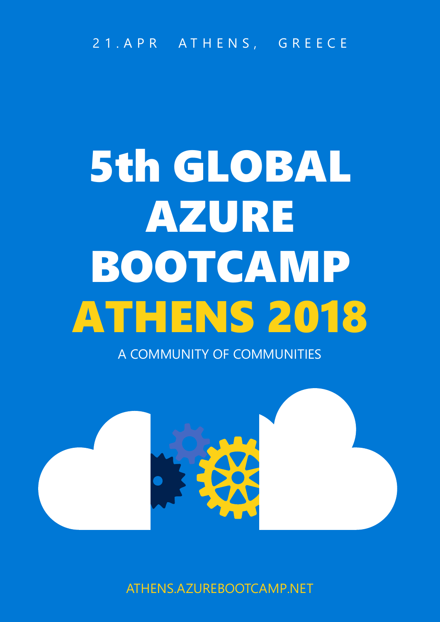21.APR ATHENS, GREECE

# 5th GLOBAL AZURE BOOTCAMP ATHENS 2018

A COMMUNITY OF COMMUNITIES



ATHENS.AZUREBOOTCAMP.NET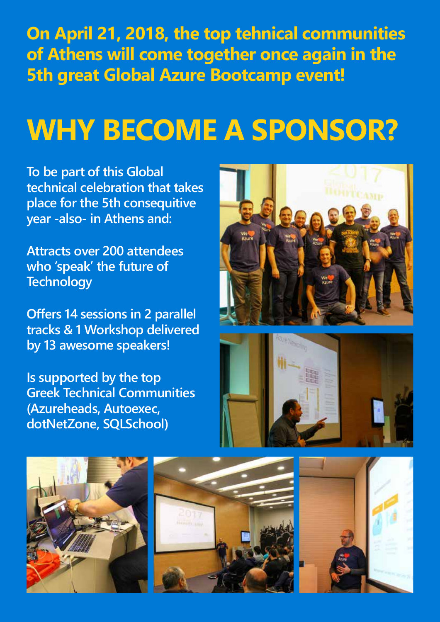**On April 21, 2018, the top tehnical communities of Athens will come together once again in the 5th great Global Azure Bootcamp event!**

## **WHY BECOME A SPONSOR?**

**To be part of this Global technical celebration that takes place for the 5th consequitive year -also- in Athens and:**

**Attracts over 200 attendees who 'speak' the future of Technology**

**Offers 14 sessions in 2 parallel tracks & 1 Workshop delivered by 13 awesome speakers!**

**Is supported by the top Greek Technical Communities (Azureheads, Autoexec, dotNetZone, SQLSchool)**









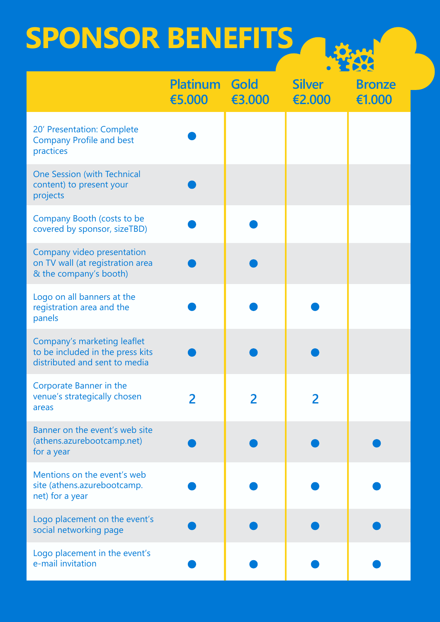## **SPONSOR BENEFITS**



|                                                                                                  | <b>Platinum Gold</b><br>€5.000 | €3.000 | <b>Silver</b><br>€2.000 | <b>Bronze</b><br>€1.000 |
|--------------------------------------------------------------------------------------------------|--------------------------------|--------|-------------------------|-------------------------|
| 20' Presentation: Complete<br><b>Company Profile and best</b><br>practices                       |                                |        |                         |                         |
| <b>One Session (with Technical</b><br>content) to present your<br>projects                       |                                |        |                         |                         |
| Company Booth (costs to be<br>covered by sponsor, sizeTBD)                                       |                                |        |                         |                         |
| Company video presentation<br>on TV wall (at registration area<br>& the company's booth)         |                                |        |                         |                         |
| Logo on all banners at the<br>registration area and the<br>panels                                |                                |        |                         |                         |
| Company's marketing leaflet<br>to be included in the press kits<br>distributed and sent to media |                                |        |                         |                         |
| <b>Corporate Banner in the</b><br>venue's strategically chosen<br>areas                          | 2                              |        |                         |                         |
| Banner on the event's web site<br>(athens.azurebootcamp.net)<br>for a year                       |                                |        |                         |                         |
| Mentions on the event's web<br>site (athens.azurebootcamp.<br>net) for a year                    |                                |        |                         |                         |
| Logo placement on the event's<br>social networking page                                          |                                |        |                         |                         |
| Logo placement in the event's<br>e-mail invitation                                               |                                |        |                         |                         |